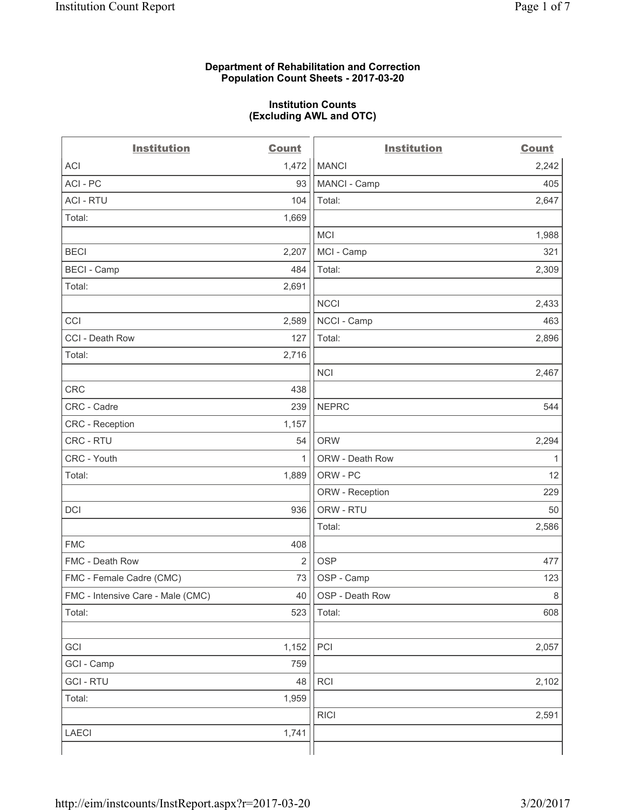#### **Department of Rehabilitation and Correction Population Count Sheets - 2017-03-20**

#### **Institution Counts (Excluding AWL and OTC)**

 $-$ 

| <b>Institution</b>                | <b>Count</b> | <b>Institution</b> | <b>Count</b> |
|-----------------------------------|--------------|--------------------|--------------|
| ACI                               | 1,472        | <b>MANCI</b>       | 2,242        |
| ACI - PC                          | 93           | MANCI - Camp       | 405          |
| <b>ACI - RTU</b>                  | 104          | Total:             | 2,647        |
| Total:                            | 1,669        |                    |              |
|                                   |              | MCI                | 1,988        |
| <b>BECI</b>                       | 2,207        | MCI - Camp         | 321          |
| <b>BECI - Camp</b>                | 484          | Total:             | 2,309        |
| Total:                            | 2,691        |                    |              |
|                                   |              | <b>NCCI</b>        | 2,433        |
| CCI                               | 2,589        | NCCI - Camp        | 463          |
| CCI - Death Row                   | 127          | Total:             | 2,896        |
| Total:                            | 2,716        |                    |              |
|                                   |              | <b>NCI</b>         | 2,467        |
| <b>CRC</b>                        | 438          |                    |              |
| CRC - Cadre                       | 239          | <b>NEPRC</b>       | 544          |
| CRC - Reception                   | 1,157        |                    |              |
| CRC - RTU                         | 54           | <b>ORW</b>         | 2,294        |
| CRC - Youth                       | $\mathbf{1}$ | ORW - Death Row    | 1            |
| Total:                            | 1,889        | ORW - PC           | 12           |
|                                   |              | ORW - Reception    | 229          |
| DCI                               | 936          | ORW - RTU          | 50           |
|                                   |              | Total:             | 2,586        |
| <b>FMC</b>                        | 408          |                    |              |
| FMC - Death Row                   | 2            | <b>OSP</b>         | 477          |
| FMC - Female Cadre (CMC)          | 73           | OSP - Camp         | 123          |
| FMC - Intensive Care - Male (CMC) | 40           | OSP - Death Row    | 8            |
| Total:                            | 523          | Total:             | 608          |
|                                   |              |                    |              |
| GCI                               | 1,152        | PCI                | 2,057        |
| GCI - Camp                        | 759          |                    |              |
| <b>GCI-RTU</b>                    | 48           | RCI                | 2,102        |
| Total:                            | 1,959        |                    |              |
|                                   |              | <b>RICI</b>        | 2,591        |
| LAECI                             | 1,741        |                    |              |
|                                   |              |                    |              |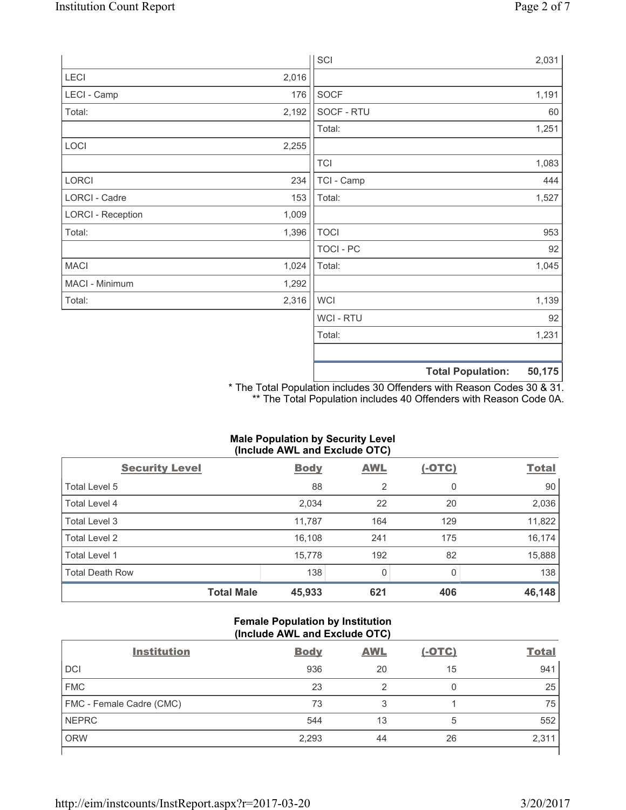|                          |       | SCI              |                          | 2,031  |
|--------------------------|-------|------------------|--------------------------|--------|
| LECI                     | 2,016 |                  |                          |        |
| LECI - Camp              | 176   | <b>SOCF</b>      |                          | 1,191  |
| Total:                   | 2,192 | SOCF - RTU       |                          | 60     |
|                          |       | Total:           |                          | 1,251  |
| LOCI                     | 2,255 |                  |                          |        |
|                          |       | <b>TCI</b>       |                          | 1,083  |
| LORCI                    | 234   | TCI - Camp       |                          | 444    |
| LORCI - Cadre            | 153   | Total:           |                          | 1,527  |
| <b>LORCI - Reception</b> | 1,009 |                  |                          |        |
| Total:                   | 1,396 | <b>TOCI</b>      |                          | 953    |
|                          |       | <b>TOCI - PC</b> |                          | 92     |
| <b>MACI</b>              | 1,024 | Total:           |                          | 1,045  |
| MACI - Minimum           | 1,292 |                  |                          |        |
| Total:                   | 2,316 | <b>WCI</b>       |                          | 1,139  |
|                          |       | <b>WCI-RTU</b>   |                          | 92     |
|                          |       | Total:           |                          | 1,231  |
|                          |       |                  | <b>Total Population:</b> | 50,175 |

\* The Total Population includes 30 Offenders with Reason Codes 30 & 31. \*\* The Total Population includes 40 Offenders with Reason Code 0A.

### **Male Population by Security Level (Include AWL and Exclude OTC)**

| $\mathbf{v}$<br><b>Security Level</b> | <b>Body</b> | $\mathbf{r}$<br><b>AWL</b> | $(-OTC)$     | <b>Total</b> |
|---------------------------------------|-------------|----------------------------|--------------|--------------|
| Total Level 5                         | 88          | $\overline{2}$             | 0            | 90           |
| Total Level 4                         | 2,034       | 22                         | 20           | 2,036        |
| Total Level 3                         | 11,787      | 164                        | 129          | 11,822       |
| Total Level 2                         | 16,108      | 241                        | 175          | 16,174       |
| <b>Total Level 1</b>                  | 15,778      | 192                        | 82           | 15,888       |
| <b>Total Death Row</b>                | 138         | $\Omega$                   | <sup>0</sup> | 138          |
| <b>Total Male</b>                     | 45,933      | 621                        | 406          | 46,148       |

#### **Female Population by Institution (Include AWL and Exclude OTC)**

| <b>Institution</b>       | <b>Body</b> | <b>AWL</b> | <u>(-OTC)</u> | <b>Total</b> |
|--------------------------|-------------|------------|---------------|--------------|
| <b>DCI</b>               | 936         | 20         | 15            | 941          |
| <b>FMC</b>               | 23          |            | 0             | 25           |
| FMC - Female Cadre (CMC) | 73          | 3          |               | 75           |
| <b>NEPRC</b>             | 544         | 13         | 5             | 552          |
| <b>ORW</b>               | 2,293       | 44         | 26            | 2,311        |
|                          |             |            |               |              |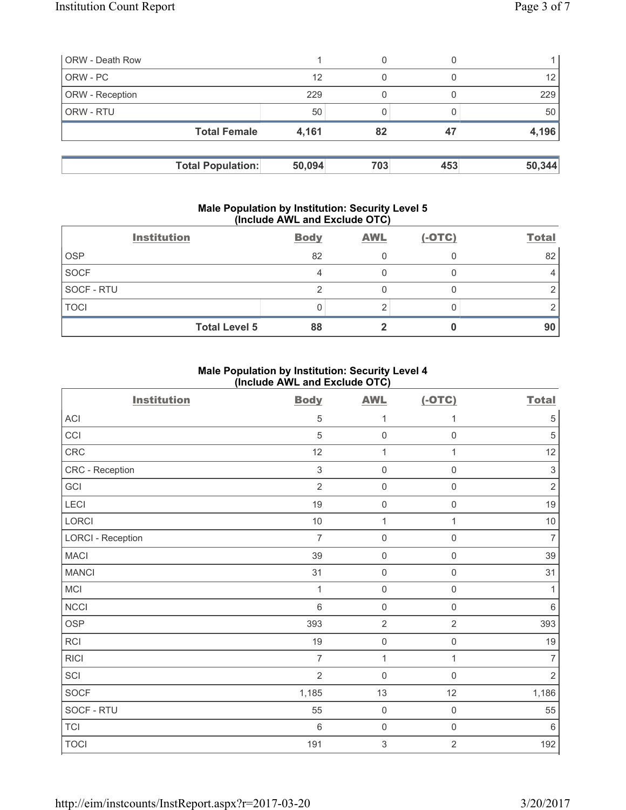| <b>ORW</b> - Death Row |                          | 0             |     |                 |
|------------------------|--------------------------|---------------|-----|-----------------|
| ORW - PC               |                          | 12<br>0       |     | 12 <sup>°</sup> |
| <b>ORW</b> - Reception |                          | 229           |     | 229             |
| <b>ORW - RTU</b>       |                          | 50            |     | 50              |
|                        | <b>Total Female</b>      | 4,161<br>82   | 47  | 4,196           |
|                        |                          |               |     |                 |
|                        | <b>Total Population:</b> | 50,094<br>703 | 453 | 50,344          |

#### **Male Population by Institution: Security Level 5 (Include AWL and Exclude OTC)**

|             | <b>Institution</b>   | <b>Body</b> | <b>AWL</b> | $(-OTC)$ | <b>Total</b> |
|-------------|----------------------|-------------|------------|----------|--------------|
| <b>OSP</b>  |                      | 82          |            |          | 82           |
| <b>SOCF</b> |                      |             |            |          |              |
| SOCF - RTU  |                      |             |            |          |              |
| <b>TOCI</b> |                      |             |            |          |              |
|             | <b>Total Level 5</b> | 88          |            |          | 90           |

#### **Male Population by Institution: Security Level 4 (Include AWL and Exclude OTC)**

| <b>Institution</b>       | <b>Body</b>    | <b>AWL</b>                | $(-OTC)$            | <b>Total</b>   |
|--------------------------|----------------|---------------------------|---------------------|----------------|
| ACI                      | $\,$ 5 $\,$    | 1                         | 1                   | $\,$ 5 $\,$    |
| CCI                      | $\sqrt{5}$     | $\mathsf{O}\xspace$       | $\mathsf 0$         | $\sqrt{5}$     |
| CRC                      | 12             | $\mathbf{1}$              | $\mathbf{1}$        | 12             |
| CRC - Reception          | $\,$ 3 $\,$    | $\mathsf{O}\xspace$       | $\mathsf{O}\xspace$ | $\sqrt{3}$     |
| GCI                      | $\overline{2}$ | $\mathsf{O}\xspace$       | $\mathsf{O}\xspace$ | $\sqrt{2}$     |
| <b>LECI</b>              | 19             | $\mathsf{O}\xspace$       | $\mathsf{O}\xspace$ | 19             |
| LORCI                    | $10$           | $\mathbf{1}$              | $\mathbf{1}$        | $10$           |
| <b>LORCI - Reception</b> | $\overline{7}$ | $\mathsf{O}\xspace$       | $\mathsf{O}\xspace$ | $\overline{7}$ |
| <b>MACI</b>              | 39             | $\mathsf{O}\xspace$       | $\mathsf{O}\xspace$ | 39             |
| <b>MANCI</b>             | 31             | $\mathsf{O}\xspace$       | $\mathsf 0$         | 31             |
| MCI                      | 1              | $\mathsf{O}\xspace$       | $\mathsf{O}\xspace$ | 1              |
| <b>NCCI</b>              | $6\phantom{a}$ | $\mathbf 0$               | $\mathbf 0$         | $\,6\,$        |
| <b>OSP</b>               | 393            | $\overline{2}$            | $\overline{2}$      | 393            |
| <b>RCI</b>               | 19             | $\mathsf{O}\xspace$       | $\mathsf{O}\xspace$ | 19             |
| <b>RICI</b>              | $\overline{7}$ | $\mathbf{1}$              | $\mathbf{1}$        | $\overline{7}$ |
| SCI                      | $\overline{2}$ | $\mathbf 0$               | $\mathsf 0$         | $\overline{2}$ |
| SOCF                     | 1,185          | 13                        | 12                  | 1,186          |
| SOCF - RTU               | 55             | $\mathsf{O}\xspace$       | $\mathsf{O}\xspace$ | 55             |
| <b>TCI</b>               | $\,6\,$        | $\mathsf{O}\xspace$       | $\mathsf{O}\xspace$ | $\,6\,$        |
| <b>TOCI</b>              | 191            | $\ensuremath{\mathsf{3}}$ | $\overline{2}$      | 192            |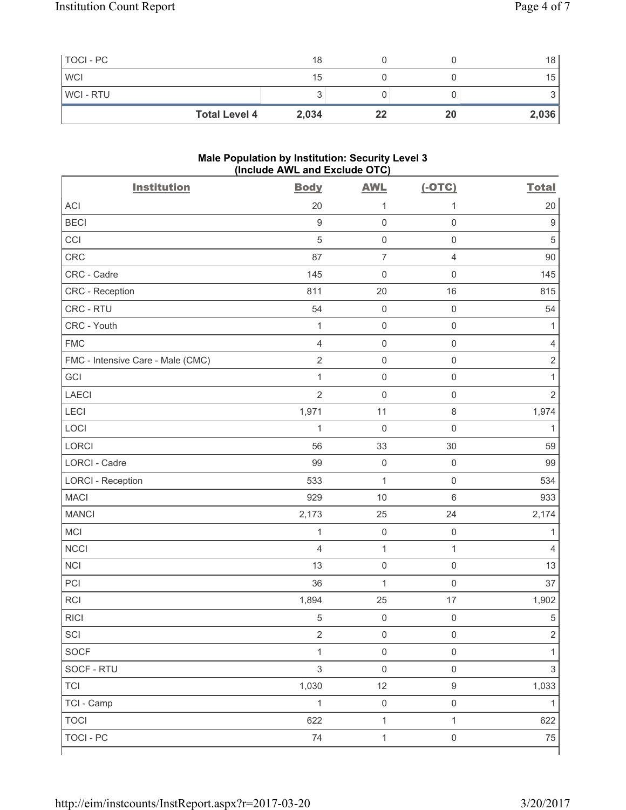| TOCI - PC            | 18    |    |    | 18 <sup>1</sup> |
|----------------------|-------|----|----|-----------------|
| <b>WCI</b>           | 15    |    |    | 15              |
| WCI - RTU            |       |    |    | ັ               |
| <b>Total Level 4</b> | 2,034 | 22 | 20 | 2,036           |

#### **Male Population by Institution: Security Level 3 (Include AWL and Exclude OTC)**

| <b>Institution</b>                | <b>Body</b>              | <b>AWL</b>          | $(-OTC)$            | <b>Total</b>   |
|-----------------------------------|--------------------------|---------------------|---------------------|----------------|
| <b>ACI</b>                        | 20                       | 1                   | 1                   | 20             |
| <b>BECI</b>                       | $\hbox{9}$               | $\mathsf{O}\xspace$ | $\mathsf 0$         | 9              |
| CCI                               | 5                        | $\mathsf{O}\xspace$ | $\mathsf 0$         | $\overline{5}$ |
| CRC                               | 87                       | $\overline{7}$      | $\overline{4}$      | 90             |
| CRC - Cadre                       | 145                      | $\mathsf{O}\xspace$ | $\mathsf 0$         | 145            |
| CRC - Reception                   | 811                      | 20                  | 16                  | 815            |
| CRC - RTU                         | 54                       | $\mathsf{O}\xspace$ | $\mathsf 0$         | 54             |
| CRC - Youth                       | $\mathbf 1$              | $\mathsf{O}\xspace$ | $\mathsf 0$         | 1              |
| <b>FMC</b>                        | $\overline{4}$           | $\mathsf{O}\xspace$ | $\mathsf 0$         | $\overline{4}$ |
| FMC - Intensive Care - Male (CMC) | $\sqrt{2}$               | $\mathsf{O}\xspace$ | $\mathsf 0$         | $\sqrt{2}$     |
| GCI                               | $\mathbf{1}$             | $\mathsf{O}\xspace$ | $\mathsf 0$         | $\mathbf{1}$   |
| <b>LAECI</b>                      | $\overline{2}$           | $\mathsf{O}\xspace$ | $\mathsf 0$         | $\overline{2}$ |
| LECI                              | 1,971                    | 11                  | $\,8\,$             | 1,974          |
| LOCI                              | $\mathbf{1}$             | $\mathbf 0$         | $\mathsf{O}\xspace$ | $\mathbf{1}$   |
| LORCI                             | 56                       | 33                  | 30                  | 59             |
| LORCI - Cadre                     | 99                       | $\mathsf{O}\xspace$ | $\mathsf 0$         | 99             |
| <b>LORCI - Reception</b>          | 533                      | $\mathbf 1$         | $\mathsf 0$         | 534            |
| <b>MACI</b>                       | 929                      | 10                  | $6\,$               | 933            |
| <b>MANCI</b>                      | 2,173                    | 25                  | 24                  | 2,174          |
| MCI                               | $\mathbf{1}$             | $\mathsf{O}\xspace$ | $\mathsf 0$         | 1              |
| <b>NCCI</b>                       | $\overline{\mathcal{L}}$ | $\mathbf 1$         | $\mathbf{1}$        | $\overline{4}$ |
| <b>NCI</b>                        | 13                       | $\mathsf{O}\xspace$ | $\mathsf 0$         | 13             |
| PCI                               | 36                       | $\mathbf 1$         | $\mathsf 0$         | 37             |
| <b>RCI</b>                        | 1,894                    | 25                  | 17                  | 1,902          |
| <b>RICI</b>                       | 5                        | $\mathsf{O}\xspace$ | $\mathsf{O}\xspace$ | $\,$ 5 $\,$    |
| SCI                               | $\overline{2}$           | $\mathsf{O}\xspace$ | $\mathsf{O}\xspace$ | $\overline{2}$ |
| <b>SOCF</b>                       | $\mathbf{1}$             | $\mathsf{O}\xspace$ | $\mathsf 0$         | 1              |
| SOCF - RTU                        | $\mathfrak{S}$           | $\mathsf{O}\xspace$ | $\mathsf 0$         | $\sqrt{3}$     |
| <b>TCI</b>                        | 1,030                    | 12                  | $\boldsymbol{9}$    | 1,033          |
| TCI - Camp                        | $\mathbf{1}$             | $\mathsf{0}$        | $\mathsf 0$         | $\mathbf{1}$   |
| <b>TOCI</b>                       | 622                      | $\mathbf 1$         | $\mathbf{1}$        | 622            |
| <b>TOCI - PC</b>                  | 74                       | $\mathbf{1}$        | $\mathsf{O}\xspace$ | 75             |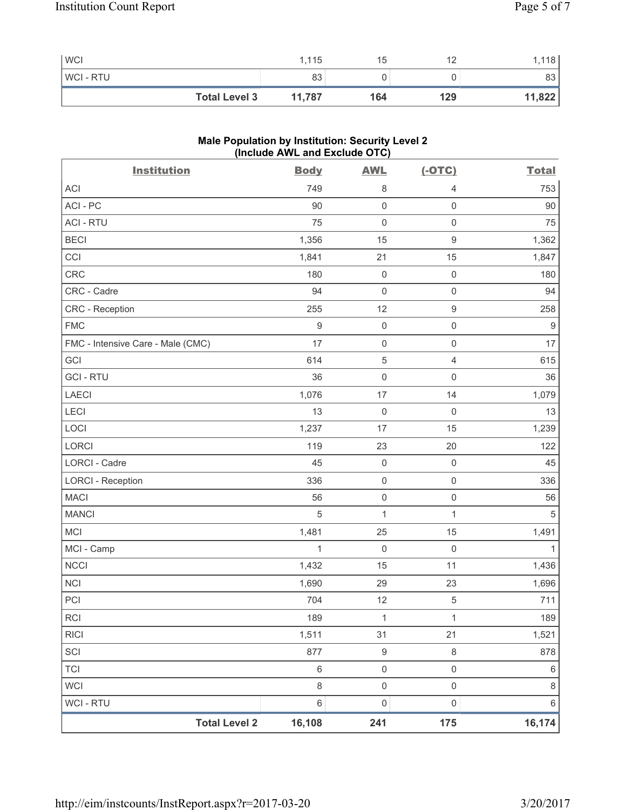| <b>WCI</b>           | 1,115  | 15  | 12<br>ॱ← | 118    |
|----------------------|--------|-----|----------|--------|
| <b>WCI-RTU</b>       | 83     |     |          | 83     |
| <b>Total Level 3</b> | 11,787 | 164 | 129      | 11,822 |

## **Male Population by Institution: Security Level 2 (Include AWL and Exclude OTC)**

| <b>Institution</b>                | <b>Body</b>  | <b>AWL</b>          | $(-OTC)$            | <b>Total</b> |
|-----------------------------------|--------------|---------------------|---------------------|--------------|
| <b>ACI</b>                        | 749          | 8                   | $\overline{4}$      | 753          |
| ACI-PC                            | 90           | 0                   | $\mathsf{O}\xspace$ | $90\,$       |
| <b>ACI - RTU</b>                  | 75           | $\mathsf 0$         | $\mathsf 0$         | 75           |
| <b>BECI</b>                       | 1,356        | 15                  | $\mathsf g$         | 1,362        |
| CCI                               | 1,841        | 21                  | 15                  | 1,847        |
| CRC                               | 180          | $\mathsf{O}\xspace$ | $\mathsf 0$         | 180          |
| CRC - Cadre                       | 94           | $\mathsf{O}\xspace$ | $\mathsf 0$         | 94           |
| CRC - Reception                   | 255          | 12                  | $\boldsymbol{9}$    | 258          |
| <b>FMC</b>                        | $\hbox{9}$   | 0                   | $\mathsf 0$         | $9$          |
| FMC - Intensive Care - Male (CMC) | 17           | $\mathsf{O}\xspace$ | $\mathsf 0$         | 17           |
| GCI                               | 614          | $\sqrt{5}$          | $\overline{4}$      | 615          |
| <b>GCI-RTU</b>                    | 36           | $\mathsf{O}\xspace$ | $\mathsf 0$         | 36           |
| <b>LAECI</b>                      | 1,076        | 17                  | 14                  | 1,079        |
| LECI                              | 13           | $\mathsf{O}\xspace$ | $\mathsf{O}\xspace$ | 13           |
| LOCI                              | 1,237        | 17                  | 15                  | 1,239        |
| LORCI                             | 119          | 23                  | 20                  | 122          |
| <b>LORCI - Cadre</b>              | 45           | $\mathsf 0$         | $\mathsf 0$         | 45           |
| <b>LORCI - Reception</b>          | 336          | $\mathsf{O}\xspace$ | $\mathsf 0$         | 336          |
| <b>MACI</b>                       | 56           | $\mathsf{O}\xspace$ | $\mathsf{O}\xspace$ | 56           |
| <b>MANCI</b>                      | 5            | $\mathbf{1}$        | $\mathbf{1}$        | $\sqrt{5}$   |
| MCI                               | 1,481        | 25                  | 15                  | 1,491        |
| MCI - Camp                        | $\mathbf{1}$ | $\mathsf{O}\xspace$ | $\mathsf 0$         | 1            |
| <b>NCCI</b>                       | 1,432        | 15                  | 11                  | 1,436        |
| <b>NCI</b>                        | 1,690        | 29                  | 23                  | 1,696        |
| PCI                               | 704          | 12                  | $\sqrt{5}$          | 711          |
| RCI                               | 189          | $\mathbf{1}$        | $\mathbf{1}$        | 189          |
| <b>RICI</b>                       | 1,511        | 31                  | 21                  | 1,521        |
| SCI                               | 877          | $\boldsymbol{9}$    | $\,8\,$             | 878          |
| <b>TCI</b>                        | $\,6\,$      | $\mathsf{O}\xspace$ | $\mathsf{O}\xspace$ | $\,6\,$      |
| <b>WCI</b>                        | 8            | $\mathsf 0$         | $\mathsf{O}\xspace$ | $\,8\,$      |
| WCI - RTU                         | 6            | $\mathsf{O}\xspace$ | $\mathsf{O}\xspace$ | $\,6\,$      |
| <b>Total Level 2</b>              | 16,108       | 241                 | 175                 | 16,174       |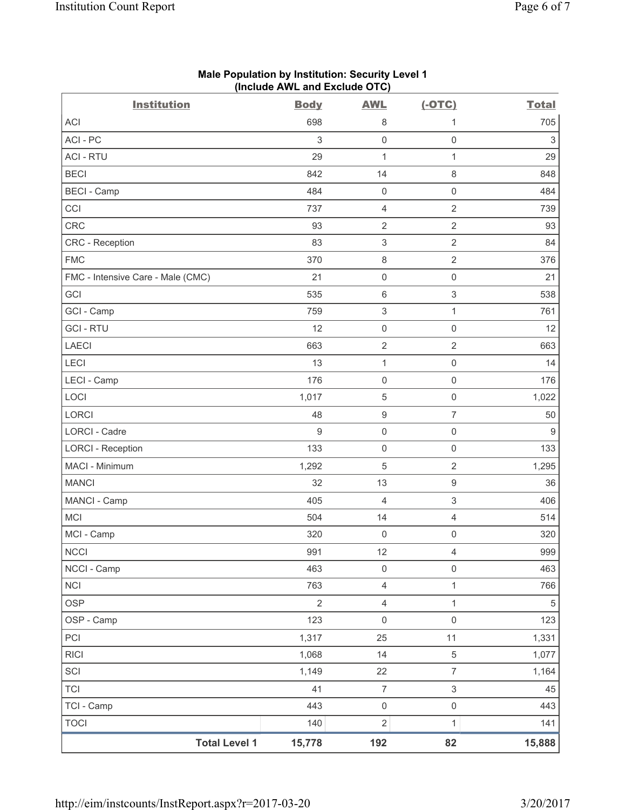| <b>Institution</b>                | <b>Body</b>    | <b>AWL</b>                | $(-OTC)$            | <b>Total</b>              |
|-----------------------------------|----------------|---------------------------|---------------------|---------------------------|
| <b>ACI</b>                        | 698            | 8                         | 1                   | 705                       |
| ACI-PC                            | 3              | $\mathbf 0$               | $\mathsf 0$         | $\ensuremath{\mathsf{3}}$ |
| <b>ACI - RTU</b>                  | 29             | $\mathbf{1}$              | $\mathbf{1}$        | 29                        |
| <b>BECI</b>                       | 842            | 14                        | $\,8\,$             | 848                       |
| <b>BECI</b> - Camp                | 484            | $\mathsf 0$               | $\mathsf 0$         | 484                       |
| CCI                               | 737            | 4                         | $\overline{2}$      | 739                       |
| CRC                               | 93             | $\overline{2}$            | $\overline{2}$      | 93                        |
| <b>CRC</b> - Reception            | 83             | $\ensuremath{\mathsf{3}}$ | $\sqrt{2}$          | 84                        |
| <b>FMC</b>                        | 370            | $\,8\,$                   | $\sqrt{2}$          | 376                       |
| FMC - Intensive Care - Male (CMC) | 21             | $\mathsf{O}\xspace$       | $\mathsf{O}\xspace$ | 21                        |
| GCI                               | 535            | 6                         | $\mathsf 3$         | 538                       |
| GCI - Camp                        | 759            | $\ensuremath{\mathsf{3}}$ | $\mathbf{1}$        | 761                       |
| <b>GCI-RTU</b>                    | 12             | $\mathsf 0$               | $\mathsf{O}\xspace$ | 12                        |
| <b>LAECI</b>                      | 663            | $\overline{c}$            | $\sqrt{2}$          | 663                       |
| LECI                              | 13             | $\mathbf 1$               | $\mathsf{O}\xspace$ | 14                        |
| LECI - Camp                       | 176            | $\mathsf{O}\xspace$       | $\mathsf 0$         | 176                       |
| LOCI                              | 1,017          | 5                         | $\mathsf{O}\xspace$ | 1,022                     |
| <b>LORCI</b>                      | 48             | $\hbox{9}$                | $\overline{7}$      | 50                        |
| LORCI - Cadre                     | 9              | $\mathsf{O}\xspace$       | $\mathsf{O}\xspace$ | $9\,$                     |
| <b>LORCI - Reception</b>          | 133            | $\mathbf 0$               | $\mathsf{O}\xspace$ | 133                       |
| MACI - Minimum                    | 1,292          | 5                         | $\overline{2}$      | 1,295                     |
| <b>MANCI</b>                      | 32             | 13                        | $\boldsymbol{9}$    | 36                        |
| MANCI - Camp                      | 405            | 4                         | $\mathsf 3$         | 406                       |
| <b>MCI</b>                        | 504            | 14                        | $\overline{4}$      | 514                       |
| MCI - Camp                        | 320            | $\mathsf{O}\xspace$       | $\mathsf{O}\xspace$ | 320                       |
| <b>NCCI</b>                       | 991            | 12                        | 4                   | 999                       |
| NCCI - Camp                       | 463            | $\mathsf{O}\xspace$       | $\mathsf{O}\xspace$ | 463                       |
| <b>NCI</b>                        | 763            | $\overline{\mathbf{4}}$   | $\mathbf{1}$        | 766                       |
| <b>OSP</b>                        | $\overline{2}$ | $\overline{\mathbf{4}}$   | $\mathbf{1}$        | $\,$ 5 $\,$               |
| OSP - Camp                        | 123            | $\mathsf 0$               | $\mathsf{O}\xspace$ | 123                       |
| PCI                               | 1,317          | 25                        | 11                  | 1,331                     |
| <b>RICI</b>                       | 1,068          | 14                        | $\sqrt{5}$          | 1,077                     |
| SCI                               | 1,149          | 22                        | $\overline{7}$      | 1,164                     |
| <b>TCI</b>                        | 41             | $\overline{7}$            | $\mathfrak{S}$      | 45                        |
| TCI - Camp                        | 443            | $\mathsf 0$               | $\mathsf 0$         | 443                       |
| <b>TOCI</b>                       | 140            | $\overline{2}$            | $\mathbf{1}$        | 141                       |
| <b>Total Level 1</b>              | 15,778         | 192                       | 82                  | 15,888                    |

#### **Male Population by Institution: Security Level 1 (Include AWL and Exclude OTC)**